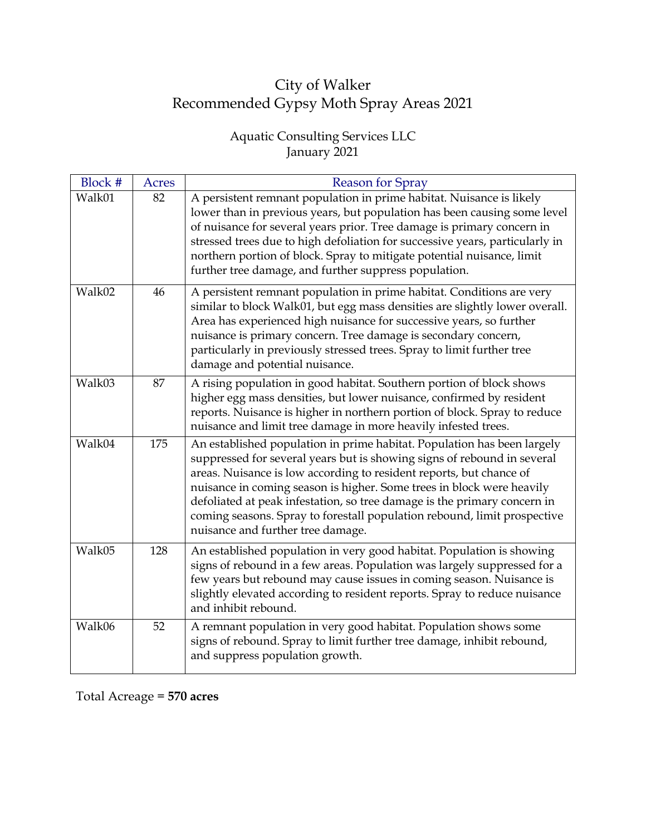## City of Walker Recommended Gypsy Moth Spray Areas 2021

## Aquatic Consulting Services LLC January 2021

| Block # | Acres | <b>Reason for Spray</b>                                                                                                                                                                                                                                                                                                                                                                                                                                                                         |
|---------|-------|-------------------------------------------------------------------------------------------------------------------------------------------------------------------------------------------------------------------------------------------------------------------------------------------------------------------------------------------------------------------------------------------------------------------------------------------------------------------------------------------------|
| Walk01  | 82    | A persistent remnant population in prime habitat. Nuisance is likely<br>lower than in previous years, but population has been causing some level<br>of nuisance for several years prior. Tree damage is primary concern in<br>stressed trees due to high defoliation for successive years, particularly in<br>northern portion of block. Spray to mitigate potential nuisance, limit<br>further tree damage, and further suppress population.                                                   |
| Walk02  | 46    | A persistent remnant population in prime habitat. Conditions are very<br>similar to block Walk01, but egg mass densities are slightly lower overall.<br>Area has experienced high nuisance for successive years, so further<br>nuisance is primary concern. Tree damage is secondary concern,<br>particularly in previously stressed trees. Spray to limit further tree<br>damage and potential nuisance.                                                                                       |
| Walk03  | 87    | A rising population in good habitat. Southern portion of block shows<br>higher egg mass densities, but lower nuisance, confirmed by resident<br>reports. Nuisance is higher in northern portion of block. Spray to reduce<br>nuisance and limit tree damage in more heavily infested trees.                                                                                                                                                                                                     |
| Walk04  | 175   | An established population in prime habitat. Population has been largely<br>suppressed for several years but is showing signs of rebound in several<br>areas. Nuisance is low according to resident reports, but chance of<br>nuisance in coming season is higher. Some trees in block were heavily<br>defoliated at peak infestation, so tree damage is the primary concern in<br>coming seasons. Spray to forestall population rebound, limit prospective<br>nuisance and further tree damage. |
| Walk05  | 128   | An established population in very good habitat. Population is showing<br>signs of rebound in a few areas. Population was largely suppressed for a<br>few years but rebound may cause issues in coming season. Nuisance is<br>slightly elevated according to resident reports. Spray to reduce nuisance<br>and inhibit rebound.                                                                                                                                                                  |
| Walk06  | 52    | A remnant population in very good habitat. Population shows some<br>signs of rebound. Spray to limit further tree damage, inhibit rebound,<br>and suppress population growth.                                                                                                                                                                                                                                                                                                                   |

Total Acreage = **570 acres**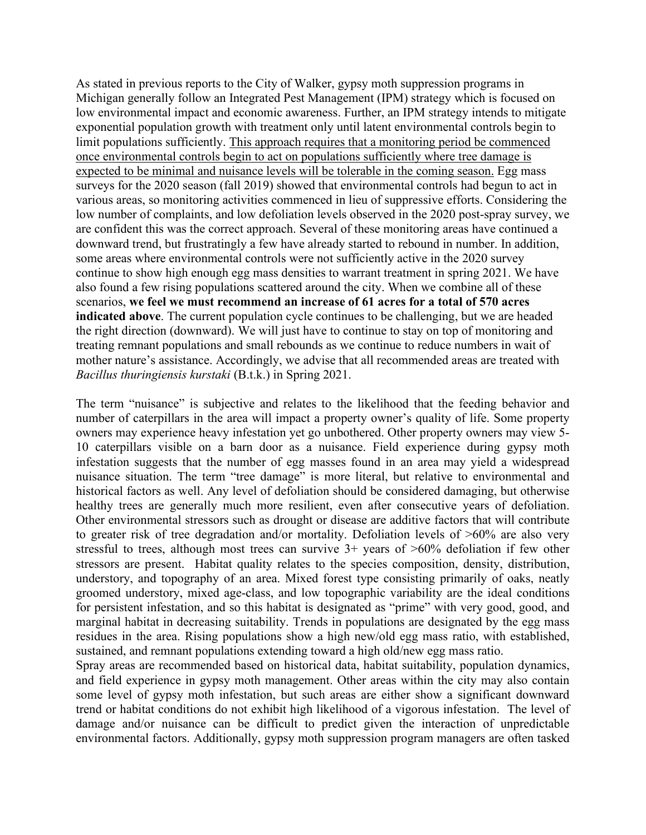As stated in previous reports to the City of Walker, gypsy moth suppression programs in Michigan generally follow an Integrated Pest Management (IPM) strategy which is focused on low environmental impact and economic awareness. Further, an IPM strategy intends to mitigate exponential population growth with treatment only until latent environmental controls begin to limit populations sufficiently. This approach requires that a monitoring period be commenced once environmental controls begin to act on populations sufficiently where tree damage is expected to be minimal and nuisance levels will be tolerable in the coming season. Egg mass surveys for the 2020 season (fall 2019) showed that environmental controls had begun to act in various areas, so monitoring activities commenced in lieu of suppressive efforts. Considering the low number of complaints, and low defoliation levels observed in the 2020 post-spray survey, we are confident this was the correct approach. Several of these monitoring areas have continued a downward trend, but frustratingly a few have already started to rebound in number. In addition, some areas where environmental controls were not sufficiently active in the 2020 survey continue to show high enough egg mass densities to warrant treatment in spring 2021. We have also found a few rising populations scattered around the city. When we combine all of these scenarios, **we feel we must recommend an increase of 61 acres for a total of 570 acres indicated above**. The current population cycle continues to be challenging, but we are headed the right direction (downward). We will just have to continue to stay on top of monitoring and treating remnant populations and small rebounds as we continue to reduce numbers in wait of mother nature's assistance. Accordingly, we advise that all recommended areas are treated with *Bacillus thuringiensis kurstaki* (B.t.k.) in Spring 2021.

The term "nuisance" is subjective and relates to the likelihood that the feeding behavior and number of caterpillars in the area will impact a property owner's quality of life. Some property owners may experience heavy infestation yet go unbothered. Other property owners may view 5- 10 caterpillars visible on a barn door as a nuisance. Field experience during gypsy moth infestation suggests that the number of egg masses found in an area may yield a widespread nuisance situation. The term "tree damage" is more literal, but relative to environmental and historical factors as well. Any level of defoliation should be considered damaging, but otherwise healthy trees are generally much more resilient, even after consecutive years of defoliation. Other environmental stressors such as drought or disease are additive factors that will contribute to greater risk of tree degradation and/or mortality. Defoliation levels of >60% are also very stressful to trees, although most trees can survive  $3+$  years of  $>60\%$  defoliation if few other stressors are present. Habitat quality relates to the species composition, density, distribution, understory, and topography of an area. Mixed forest type consisting primarily of oaks, neatly groomed understory, mixed age-class, and low topographic variability are the ideal conditions for persistent infestation, and so this habitat is designated as "prime" with very good, good, and marginal habitat in decreasing suitability. Trends in populations are designated by the egg mass residues in the area. Rising populations show a high new/old egg mass ratio, with established, sustained, and remnant populations extending toward a high old/new egg mass ratio.

Spray areas are recommended based on historical data, habitat suitability, population dynamics, and field experience in gypsy moth management. Other areas within the city may also contain some level of gypsy moth infestation, but such areas are either show a significant downward trend or habitat conditions do not exhibit high likelihood of a vigorous infestation. The level of damage and/or nuisance can be difficult to predict given the interaction of unpredictable environmental factors. Additionally, gypsy moth suppression program managers are often tasked